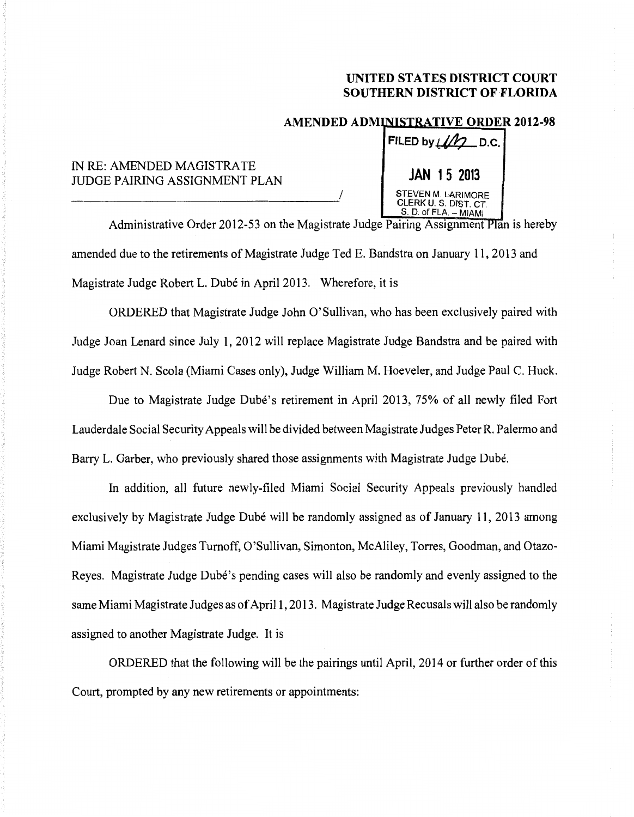## **UNITED STATES DISTRICT COURT SOUTHERN DISTRICT OF FLORIDA**

**FILED by**  $1/\sqrt{2}$  **D.C.** 

**JAN 1 5 2013** 

## **AMENDED ADMINISTRATIVE ORDER 2012-98**

/ STEVEN M. LARIMORE

## IN RE: AMENDED MAGISTRATE JUDGE PAIRING ASSIGNMENT PLAN -------------------' CLERK U.S. DfST. CT.

S. D. of FLA. – MIAMI Administrative Order 2012-53 on the Magistrate Judge Pairing Assignment Plan is hereby amended due to the retirements of Magistrate Judge Ted E. Bandstra on January 11, 2013 and Magistrate Judge Robert L. Dubé in April 2013. Wherefore, it is

ORDERED that Magistrate Judge John O'Sullivan, who has been exclusively paired with Judge Joan Lenard since July 1, 2012 will replace Magistrate Judge Bandstra and be paired with Judge Robert N. Scola (Miami Cases only), Judge William M. Hoeveler, and Judge Paul C. Huck.

Due to Magistrate Judge Dube's retirement in April 2013, 75% of all newly filed Fort Lauderdale Social Security Appeals will be divided between Magistrate Judges Peter R. Palermo and Barry L. Garber, who previously shared those assignments with Magistrate Judge Dube.

In addition, all future newly-filed Miami Social Security Appeals previously handled exclusively by Magistrate Judge Dubé will be randomly assigned as of January 11, 2013 among Miami Magistrate Judges Turnoff, O'Sullivan, Simonton, McAliley, Torres, Goodman, and Otazo-Reyes. Magistrate Judge Dubé's pending cases will also be randomly and evenly assigned to the same Miami Magistrate Judges as of April 1, 2013. Magistrate Judge Recusals will also be randomly assigned to another Magistrate Judge. It is

ORDERED that the following will be the pairings until April, 2014 or further order of this Court, prompted by any new retirements or appointments: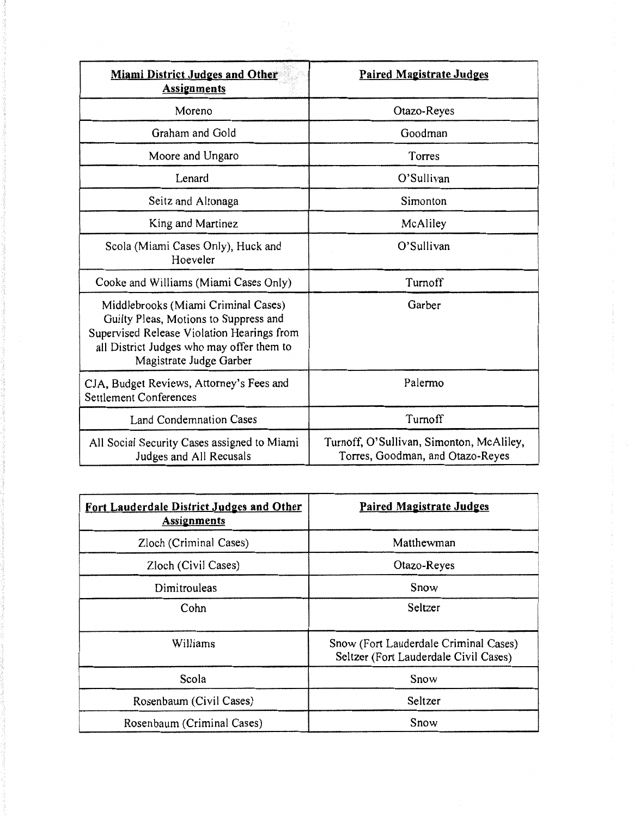| <b>Miami District Judges and Other</b><br><b>Assignments</b>                                                                                                                                       | <b>Paired Magistrate Judges</b>                                              |
|----------------------------------------------------------------------------------------------------------------------------------------------------------------------------------------------------|------------------------------------------------------------------------------|
| Moreno                                                                                                                                                                                             | Otazo-Reyes                                                                  |
| Graham and Gold                                                                                                                                                                                    | Goodman                                                                      |
| Moore and Ungaro                                                                                                                                                                                   | Torres                                                                       |
| Lenard                                                                                                                                                                                             | O'Sullivan                                                                   |
| Seitz and Altonaga                                                                                                                                                                                 | Simonton                                                                     |
| King and Martinez                                                                                                                                                                                  | McAliley                                                                     |
| Scola (Miami Cases Only), Huck and<br>Hoeveler                                                                                                                                                     | O'Sullivan                                                                   |
| Cooke and Williams (Miami Cases Only)                                                                                                                                                              | Turnoff                                                                      |
| Middlebrooks (Miami Criminal Cases)<br>Guilty Pleas, Motions to Suppress and<br>Supervised Release Violation Hearings from<br>all District Judges who may offer them to<br>Magistrate Judge Garber | Garber                                                                       |
| CJA, Budget Reviews, Attorney's Fees and<br><b>Settlement Conferences</b>                                                                                                                          | Palermo                                                                      |
| Land Condemnation Cases                                                                                                                                                                            | Turnoff                                                                      |
| All Social Security Cases assigned to Miami<br>Judges and All Recusals                                                                                                                             | Turnoff, O'Sullivan, Simonton, McAliley,<br>Torres, Goodman, and Otazo-Reyes |

| Fort Lauderdale District Judges and Other<br><b>Assignments</b> | <b>Paired Magistrate Judges</b>                                                |
|-----------------------------------------------------------------|--------------------------------------------------------------------------------|
| Zloch (Criminal Cases)                                          | Matthewman                                                                     |
| Zloch (Civil Cases)                                             | Otazo-Reyes                                                                    |
| Dimitrouleas                                                    | Snow                                                                           |
| Cohn                                                            | Seltzer                                                                        |
| Williams                                                        | Snow (Fort Lauderdale Criminal Cases)<br>Seltzer (Fort Lauderdale Civil Cases) |
| Scola                                                           | Snow                                                                           |
| Rosenbaum (Civil Cases)                                         | Seltzer                                                                        |
| Rosenbaum (Criminal Cases)                                      | Snow                                                                           |